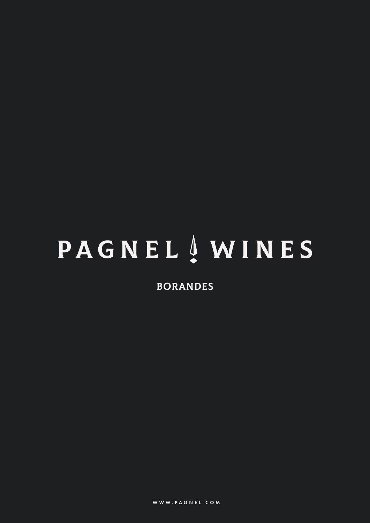# **PAGNEL 4 WINES**

BORANDES

WWW.PAGNEL.COM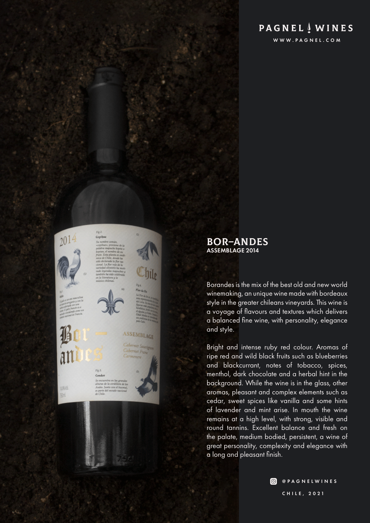## **PAGNEL**  $\frac{1}{2}$  **WINES**

WWW.PAGNEL.COM



### BOR–ANDES ASSEMBLAGE 2014

Borandes is the mix of the best old and new world winemaking, an unique wine made with bordeaux style in the greater chileans vineyards. This wine is a voyage of flavours and textures which delivers a balanced fine wine, with personality, elegance and style.

Bright and intense ruby red colour. Aromas of ripe red and wild black fruits such as blueberries and blackcurrant, notes of tobacco, spices, menthol, dark chocolate and a herbal hint in the background. While the wine is in the glass, other aromas, pleasant and complex elements such as cedar, sweet spices like vanilla and some hints of lavender and mint arise. In mouth the wine remains at a high level, with strong, visible and round tannins. Excellent balance and fresh on the palate, medium bodied, persistent, a wine of great personality, complexity and elegance with a long and pleasant finish.